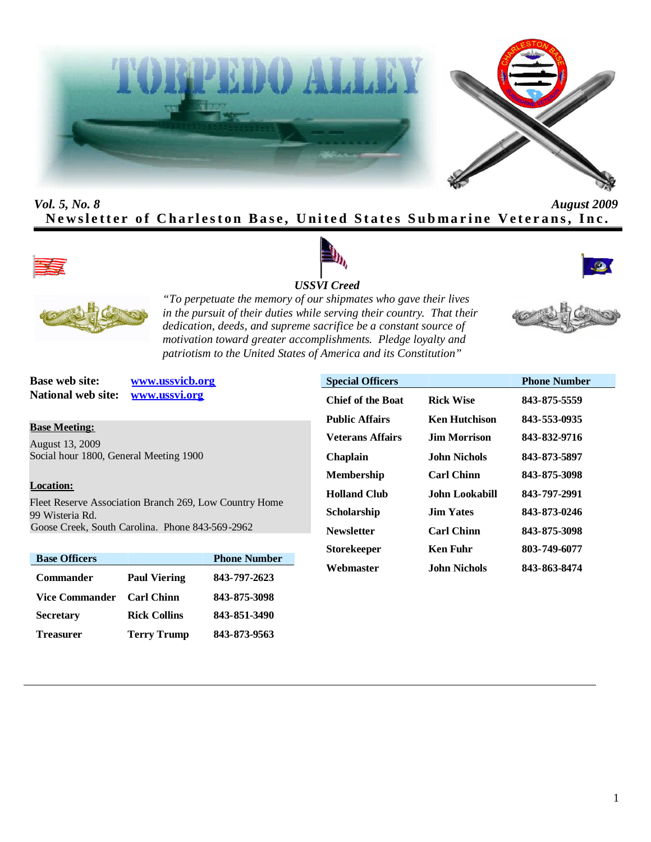



# *Vol. 5, No. 8 August 2009* Newsletter of Charleston Base, United States Submarine Veterans, Inc.



![](_page_0_Picture_4.jpeg)

![](_page_0_Picture_5.jpeg)

![](_page_0_Picture_6.jpeg)

*"To perpetuate the memory of our shipmates who gave their lives in the pursuit of their duties while serving their country. That their dedication, deeds, and supreme sacrifice be a constant source of motivation toward greater accomplishments. Pledge loyalty and patriotism to the United States of America and its Constitution"*

**National web site: www.ussvi.org**

**Base web site: www.ussvicb.org**

#### **Base Meeting:**

August 13, 2009 Social hour 1800, General Meeting 1900

#### **Location:**

Fleet Reserve Association Branch 269, Low Country Home 99 Wisteria Rd. Goose Creek, South Carolina. Phone 843-569-2962

| <b>Base Officers</b>  |                     | <b>Phone Number</b> |
|-----------------------|---------------------|---------------------|
| <b>Commander</b>      | <b>Paul Viering</b> | 843-797-2623        |
| <b>Vice Commander</b> | <b>Carl Chinn</b>   | 843-875-3098        |
| <b>Secretary</b>      | <b>Rick Collins</b> | 843-851-3490        |
| <b>Treasurer</b>      | <b>Terry Trump</b>  | 843-873-9563        |

| <b>Special Officers</b>  |                       | <b>Phone Number</b> |
|--------------------------|-----------------------|---------------------|
| <b>Chief of the Boat</b> | <b>Rick Wise</b>      | 843-875-5559        |
| <b>Public Affairs</b>    | <b>Ken Hutchison</b>  | 843-553-0935        |
| Veterans Affairs         | <b>Jim Morrison</b>   | 843-832-9716        |
| Chaplain                 | John Nichols          | 843-873-5897        |
| Membership               | <b>Carl Chinn</b>     | 843-875-3098        |
| <b>Holland Club</b>      | <b>John Lookabill</b> | 843-797-2991        |
| Scholarship              | <b>Jim Yates</b>      | 843-873-0246        |
| Newsletter               | <b>Carl Chinn</b>     | 843-875-3098        |
| Storekeeper              | <b>Ken Fuhr</b>       | 803-749-6077        |
| Webmaster                | <b>John Nichols</b>   | 843-863-8474        |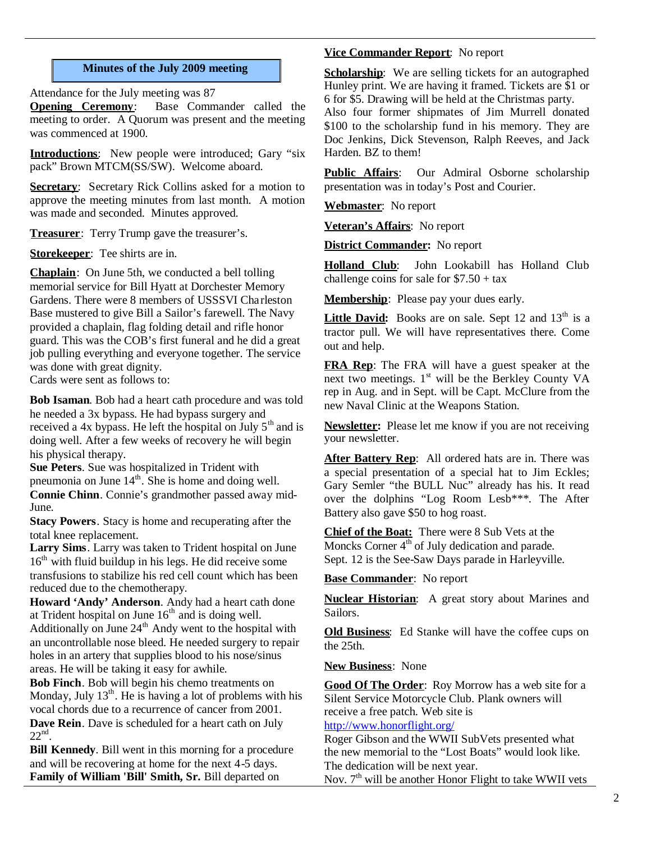## **Minutes of the July 2009 meeting**

Attendance for the July meeting was 87

**Opening Ceremony**: Base Commander called the meeting to order. A Quorum was present and the meeting was commenced at 1900.

**Introductions:** New people were introduced; Gary "six pack" Brown MTCM(SS/SW). Welcome aboard.

**Secretary:** Secretary Rick Collins asked for a motion to approve the meeting minutes from last month. A motion was made and seconded. Minutes approved.

**Treasurer**: Terry Trump gave the treasurer's.

**Storekeeper**: Tee shirts are in.

**Chaplain**: On June 5th, we conducted a bell tolling memorial service for Bill Hyatt at Dorchester Memory Gardens. There were 8 members of USSSVI Charleston Base mustered to give Bill a Sailor's farewell. The Navy provided a chaplain, flag folding detail and rifle honor guard. This was the COB's first funeral and he did a great job pulling everything and everyone together. The service was done with great dignity. Cards were sent as follows to:

**Bob Isaman**. Bob had a heart cath procedure and was told he needed a 3x bypass. He had bypass surgery and received a 4x bypass. He left the hospital on July  $5<sup>th</sup>$  and is doing well. After a few weeks of recovery he will begin his physical therapy.

**Sue Peters**. Sue was hospitalized in Trident with pneumonia on June  $14<sup>th</sup>$ . She is home and doing well. **Connie Chinn**. Connie's grandmother passed away mid-June.

**Stacy Powers**. Stacy is home and recuperating after the total knee replacement.

**Larry Sims**. Larry was taken to Trident hospital on June  $16<sup>th</sup>$  with fluid buildup in his legs. He did receive some transfusions to stabilize his red cell count which has been reduced due to the chemotherapy.

**Howard 'Andy' Anderson**. Andy had a heart cath done at Trident hospital on June  $16<sup>th</sup>$  and is doing well.

Additionally on June  $24<sup>th</sup>$  Andy went to the hospital with an uncontrollable nose bleed. He needed surgery to repair holes in an artery that supplies blood to his nose/sinus areas. He will be taking it easy for awhile.

**Bob Finch**. Bob will begin his chemo treatments on Monday, July  $13<sup>th</sup>$ . He is having a lot of problems with his vocal chords due to a recurrence of cancer from 2001. **Dave Rein**. Dave is scheduled for a heart cath on July  $22<sup>nd</sup>$ .

**Bill Kennedy**. Bill went in this morning for a procedure and will be recovering at home for the next 4-5 days. **Family of William 'Bill' Smith, Sr.** Bill departed on

## **Vice Commander Report**: No report

**Scholarship**: We are selling tickets for an autographed Hunley print. We are having it framed. Tickets are \$1 or 6 for \$5. Drawing will be held at the Christmas party.

Also four former shipmates of Jim Murrell donated \$100 to the scholarship fund in his memory. They are Doc Jenkins, Dick Stevenson, Ralph Reeves, and Jack Harden. BZ to them!

**Public Affairs**: Our Admiral Osborne scholarship presentation was in today's Post and Courier.

**Webmaster**: No report

**Veteran's Affairs**: No report

**District Commander:** No report

**Holland Club**: John Lookabill has Holland Club challenge coins for sale for  $$7.50 + tax$ 

**Membership**: Please pay your dues early.

**Little David:** Books are on sale. Sept 12 and 13<sup>th</sup> is a tractor pull. We will have representatives there. Come out and help.

**FRA Rep**: The FRA will have a guest speaker at the next two meetings.  $1<sup>st</sup>$  will be the Berkley County VA rep in Aug. and in Sept. will be Capt. McClure from the new Naval Clinic at the Weapons Station.

**Newsletter:** Please let me know if you are not receiving your newsletter.

**After Battery Rep**: All ordered hats are in. There was a special presentation of a special hat to Jim Eckles; Gary Semler "the BULL Nuc" already has his. It read over the dolphins "Log Room Lesb\*\*\*. The After Battery also gave \$50 to hog roast.

**Chief of the Boat:** There were 8 Sub Vets at the Moncks Corner  $4<sup>th</sup>$  of July dedication and parade. Sept. 12 is the See-Saw Days parade in Harleyville.

**Base Commander**: No report

**Nuclear Historian**: A great story about Marines and Sailors.

**Old Business**: Ed Stanke will have the coffee cups on the 25th.

**New Business**: None

**Good Of The Order**: Roy Morrow has a web site for a Silent Service Motorcycle Club. Plank owners will receive a free patch. Web site is

# http://www.honorflight.org/

Roger Gibson and the WWII SubVets presented what the new memorial to the "Lost Boats" would look like. The dedication will be next year.

Nov.  $7<sup>th</sup>$  will be another Honor Flight to take WWII vets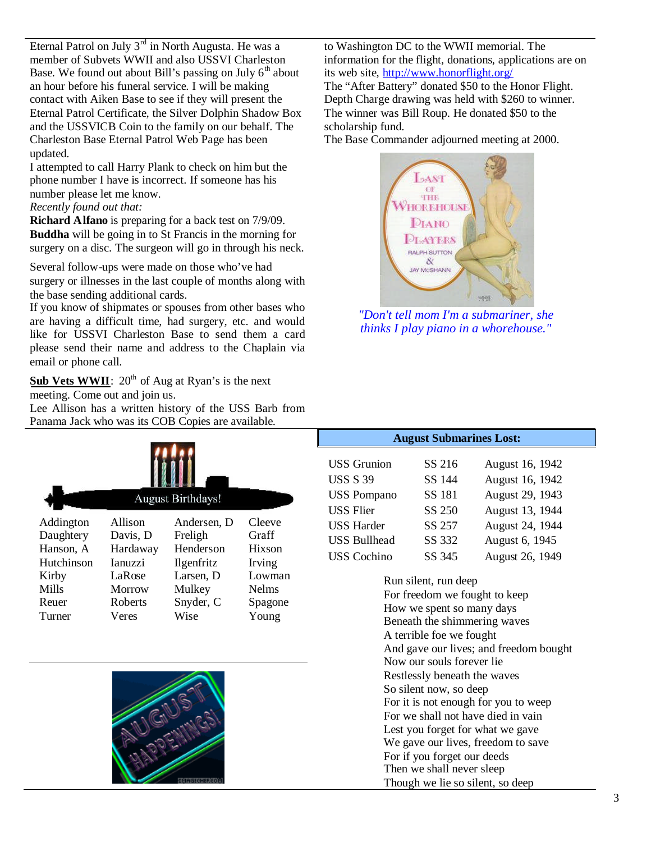Eternal Patrol on July  $3<sup>rd</sup>$  in North Augusta. He was a member of Subvets WWII and also USSVI Charleston Base. We found out about Bill's passing on July  $6<sup>th</sup>$  about an hour before his funeral service. I will be making contact with Aiken Base to see if they will present the Eternal Patrol Certificate, the Silver Dolphin Shadow Box and the USSVICB Coin to the family on our behalf. The Charleston Base Eternal Patrol Web Page has been updated.

I attempted to call Harry Plank to check on him but the phone number I have is incorrect. If someone has his number please let me know.

# *Recently found out that:*

**Richard Alfano** is preparing for a back test on 7/9/09. **Buddha** will be going in to St Francis in the morning for surgery on a disc. The surgeon will go in through his neck.

Several follow-ups were made on those who've had surgery or illnesses in the last couple of months along with the base sending additional cards.

If you know of shipmates or spouses from other bases who are having a difficult time, had surgery, etc. and would like for USSVI Charleston Base to send them a card please send their name and address to the Chaplain via email or phone call.

Sub Vets WWII: 20<sup>th</sup> of Aug at Ryan's is the next meeting. Come out and join us.

Lee Allison has a written history of the USS Barb from Panama Jack who was its COB Copies are available.

|            | <b>August Birthdays!</b> |                   |               |  |  |
|------------|--------------------------|-------------------|---------------|--|--|
| Addington  | Allison                  | Andersen, D       | Cleeve        |  |  |
| Daughtery  | Davis, D                 | Freligh           | Graff         |  |  |
| Hanson, A  | Hardaway                 | Henderson         | <b>Hixson</b> |  |  |
| Hutchinson | <b>Ianuzzi</b>           | <b>Ilgenfritz</b> | Irving        |  |  |
| Kirby      | LaRose                   | Larsen, D         | Lowman        |  |  |
| Mills      | Morrow                   | Mulkey            | <b>Nelms</b>  |  |  |
| Reuer      | Roberts                  | Snyder, C         | Spagone       |  |  |
| Turner     | Veres                    | Wise              | Young         |  |  |

![](_page_2_Picture_9.jpeg)

to Washington DC to the WWII memorial. The information for the flight, donations, applications are on its web site, http://www.honorflight.org/ The "After Battery" donated \$50 to the Honor Flight. Depth Charge drawing was held with \$260 to winner. The winner was Bill Roup. He donated \$50 to the scholarship fund.

The Base Commander adjourned meeting at 2000.

![](_page_2_Picture_12.jpeg)

*"Don't tell mom I'm a submariner, she thinks I play piano in a whorehouse."*

**August Submarines Lost:**

| <b>USS</b> Grunion  | SS 216 | August 16, 1942 |
|---------------------|--------|-----------------|
| <b>USS S 39</b>     | SS 144 | August 16, 1942 |
| <b>USS Pompano</b>  | SS 181 | August 29, 1943 |
| <b>USS Flier</b>    | SS 250 | August 13, 1944 |
| <b>USS Harder</b>   | SS 257 | August 24, 1944 |
| <b>USS Bullhead</b> | SS 332 | August 6, 1945  |
| <b>USS</b> Cochino  | SS 345 | August 26, 1949 |

Run silent, run deep For freedom we fought to keep How we spent so many days Beneath the shimmering waves A terrible foe we fought And gave our lives; and freedom bought Now our souls forever lie Restlessly beneath the waves So silent now, so deep For it is not enough for you to weep For we shall not have died in vain Lest you forget for what we gave We gave our lives, freedom to save For if you forget our deeds Then we shall never sleep Though we lie so silent, so deep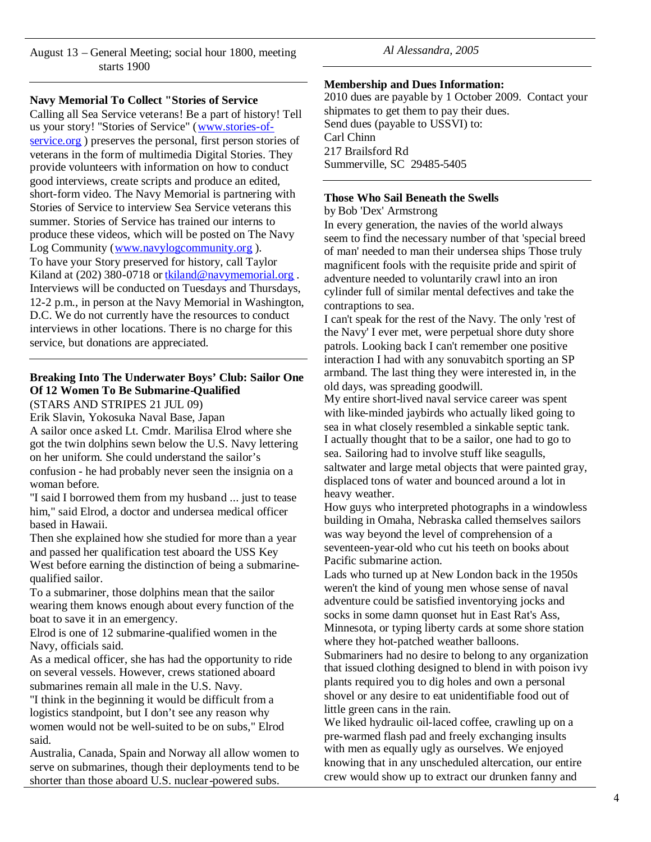August 13 – General Meeting; social hour 1800, meeting starts 1900

**Navy Memorial To Collect "Stories of Service**

Calling all Sea Service veterans! Be a part of history! Tell us your story! "Stories of Service" (www.stories-ofservice.org) preserves the personal, first person stories of veterans in the form of multimedia Digital Stories. They provide volunteers with information on how to conduct good interviews, create scripts and produce an edited, short-form video. The Navy Memorial is partnering with Stories of Service to interview Sea Service veterans this summer. Stories of Service has trained our interns to produce these videos, which will be posted on The Navy Log Community (www.navylogcommunity.org ). To have your Story preserved for history, call Taylor Kiland at  $(202)$  380-0718 or tkiland@navymemorial.org. Interviews will be conducted on Tuesdays and Thursdays, 12-2 p.m., in person at the Navy Memorial in Washington, D.C. We do not currently have the resources to conduct interviews in other locations. There is no charge for this service, but donations are appreciated.

# **Breaking Into The Underwater Boys' Club: Sailor One Of 12 Women To Be Submarine-Qualified**

(STARS AND STRIPES 21 JUL 09)

Erik Slavin, Yokosuka Naval Base, Japan

A sailor once asked Lt. Cmdr. Marilisa Elrod where she got the twin dolphins sewn below the U.S. Navy lettering on her uniform. She could understand the sailor's confusion - he had probably never seen the insignia on a woman before.

"I said I borrowed them from my husband ... just to tease him," said Elrod, a doctor and undersea medical officer based in Hawaii.

Then she explained how she studied for more than a year and passed her qualification test aboard the USS Key West before earning the distinction of being a submarinequalified sailor.

To a submariner, those dolphins mean that the sailor wearing them knows enough about every function of the boat to save it in an emergency.

Elrod is one of 12 submarine-qualified women in the Navy, officials said.

As a medical officer, she has had the opportunity to ride on several vessels. However, crews stationed aboard submarines remain all male in the U.S. Navy.

"I think in the beginning it would be difficult from a logistics standpoint, but I don't see any reason why women would not be well-suited to be on subs," Elrod said.

Australia, Canada, Spain and Norway all allow women to serve on submarines, though their deployments tend to be shorter than those aboard U.S. nuclear-powered subs.

*Al Alessandra, 2005*

# **Membership and Dues Information:**

2010 dues are payable by 1 October 2009. Contact your shipmates to get them to pay their dues. Send dues (payable to USSVI) to: Carl Chinn 217 Brailsford Rd Summerville, SC 29485-5405

# **Those Who Sail Beneath the Swells**

by Bob 'Dex' Armstrong

In every generation, the navies of the world always seem to find the necessary number of that 'special breed of man' needed to man their undersea ships Those truly magnificent fools with the requisite pride and spirit of adventure needed to voluntarily crawl into an iron cylinder full of similar mental defectives and take the contraptions to sea.

I can't speak for the rest of the Navy. The only 'rest of the Navy' I ever met, were perpetual shore duty shore patrols. Looking back I can't remember one positive interaction I had with any sonuvabitch sporting an SP armband. The last thing they were interested in, in the old days, was spreading goodwill.

My entire short-lived naval service career was spent with like-minded jaybirds who actually liked going to sea in what closely resembled a sinkable septic tank. I actually thought that to be a sailor, one had to go to sea. Sailoring had to involve stuff like seagulls, saltwater and large metal objects that were painted gray, displaced tons of water and bounced around a lot in heavy weather.

How guys who interpreted photographs in a windowless building in Omaha, Nebraska called themselves sailors was way beyond the level of comprehension of a seventeen-year-old who cut his teeth on books about Pacific submarine action.

Lads who turned up at New London back in the 1950s weren't the kind of young men whose sense of naval adventure could be satisfied inventorying jocks and socks in some damn quonset hut in East Rat's Ass, Minnesota, or typing liberty cards at some shore station where they hot-patched weather balloons.

Submariners had no desire to belong to any organization that issued clothing designed to blend in with poison ivy plants required you to dig holes and own a personal shovel or any desire to eat unidentifiable food out of little green cans in the rain.

We liked hydraulic oil-laced coffee, crawling up on a pre-warmed flash pad and freely exchanging insults with men as equally ugly as ourselves. We enjoyed knowing that in any unscheduled altercation, our entire crew would show up to extract our drunken fanny and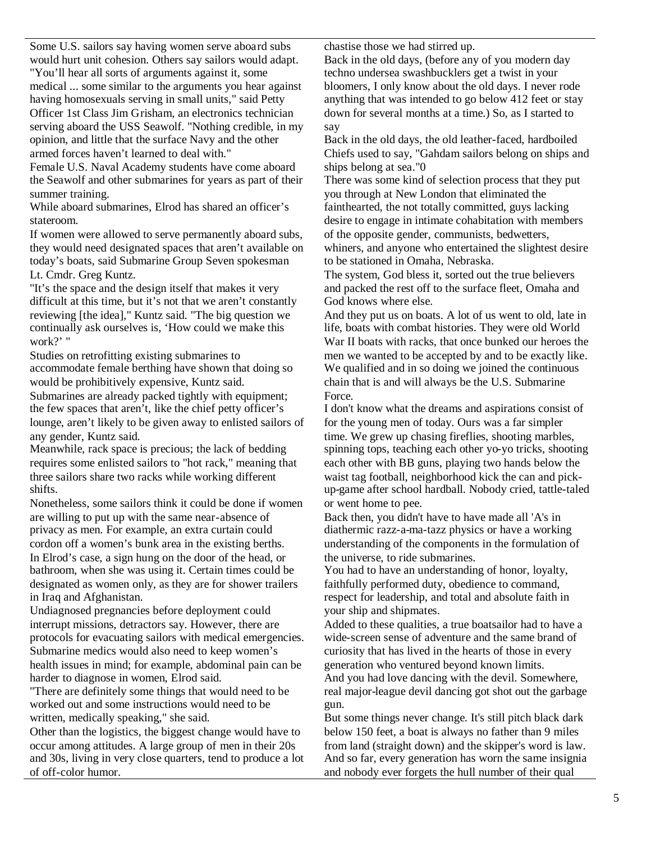Some U.S. sailors say having women serve aboard subs would hurt unit cohesion. Others say sailors would adapt. "You'll hear all sorts of arguments against it, some

medical ... some similar to the arguments you hear against having homosexuals serving in small units," said Petty Officer 1st Class Jim Grisham, an electronics technician serving aboard the USS Seawolf. "Nothing credible, in my opinion, and little that the surface Navy and the other armed forces haven't learned to deal with."

Female U.S. Naval Academy students have come aboard the Seawolf and other submarines for years as part of their summer training.

While aboard submarines, Elrod has shared an officer's stateroom.

If women were allowed to serve permanently aboard subs, they would need designated spaces that aren't available on today's boats, said Submarine Group Seven spokesman Lt. Cmdr. Greg Kuntz.

"It's the space and the design itself that makes it very difficult at this time, but it's not that we aren't constantly reviewing [the idea]," Kuntz said. "The big question we continually ask ourselves is, 'How could we make this work?' "

Studies on retrofitting existing submarines to accommodate female berthing have shown that doing so would be prohibitively expensive, Kuntz said. Submarines are already packed tightly with equipment;

the few spaces that aren't, like the chief petty officer's lounge, aren't likely to be given away to enlisted sailors of any gender, Kuntz said.

Meanwhile, rack space is precious; the lack of bedding requires some enlisted sailors to "hot rack," meaning that three sailors share two racks while working different shifts.

Nonetheless, some sailors think it could be done if women are willing to put up with the same near-absence of privacy as men. For example, an extra curtain could cordon off a women's bunk area in the existing berths. In Elrod's case, a sign hung on the door of the head, or bathroom, when she was using it. Certain times could be designated as women only, as they are for shower trailers in Iraq and Afghanistan.

Undiagnosed pregnancies before deployment could interrupt missions, detractors say. However, there are protocols for evacuating sailors with medical emergencies. Submarine medics would also need to keep women's health issues in mind; for example, abdominal pain can be harder to diagnose in women, Elrod said.

"There are definitely some things that would need to be worked out and some instructions would need to be written, medically speaking," she said.

Other than the logistics, the biggest change would have to occur among attitudes. A large group of men in their 20s and 30s, living in very close quarters, tend to produce a lot of off-color humor.

chastise those we had stirred up.

Back in the old days, (before any of you modern day techno undersea swashbucklers get a twist in your bloomers, I only know about the old days. I never rode anything that was intended to go below 412 feet or stay down for several months at a time.) So, as I started to say

Back in the old days, the old leather-faced, hardboiled Chiefs used to say, "Gahdam sailors belong on ships and ships belong at sea."0

There was some kind of selection process that they put you through at New London that eliminated the fainthearted, the not totally committed, guys lacking desire to engage in intimate cohabitation with members of the opposite gender, communists, bedwetters, whiners, and anyone who entertained the slightest desire to be stationed in Omaha, Nebraska.

The system, God bless it, sorted out the true believers and packed the rest off to the surface fleet, Omaha and God knows where else.

And they put us on boats. A lot of us went to old, late in life, boats with combat histories. They were old World War II boats with racks, that once bunked our heroes the men we wanted to be accepted by and to be exactly like. We qualified and in so doing we joined the continuous chain that is and will always be the U.S. Submarine Force.

I don't know what the dreams and aspirations consist of for the young men of today. Ours was a far simpler time. We grew up chasing fireflies, shooting marbles, spinning tops, teaching each other yo-yo tricks, shooting each other with BB guns, playing two hands below the waist tag football, neighborhood kick the can and pickup-game after school hardball. Nobody cried, tattle-taled or went home to pee.

Back then, you didn't have to have made all 'A's in diathermic razz-a-ma-tazz physics or have a working understanding of the components in the formulation of the universe, to ride submarines.

You had to have an understanding of honor, loyalty, faithfully performed duty, obedience to command, respect for leadership, and total and absolute faith in your ship and shipmates.

Added to these qualities, a true boatsailor had to have a wide-screen sense of adventure and the same brand of curiosity that has lived in the hearts of those in every generation who ventured beyond known limits. And you had love dancing with the devil. Somewhere, real major-league devil dancing got shot out the garbage gun.

But some things never change. It's still pitch black dark below 150 feet, a boat is always no father than 9 miles from land (straight down) and the skipper's word is law. And so far, every generation has worn the same insignia and nobody ever forgets the hull number of their qual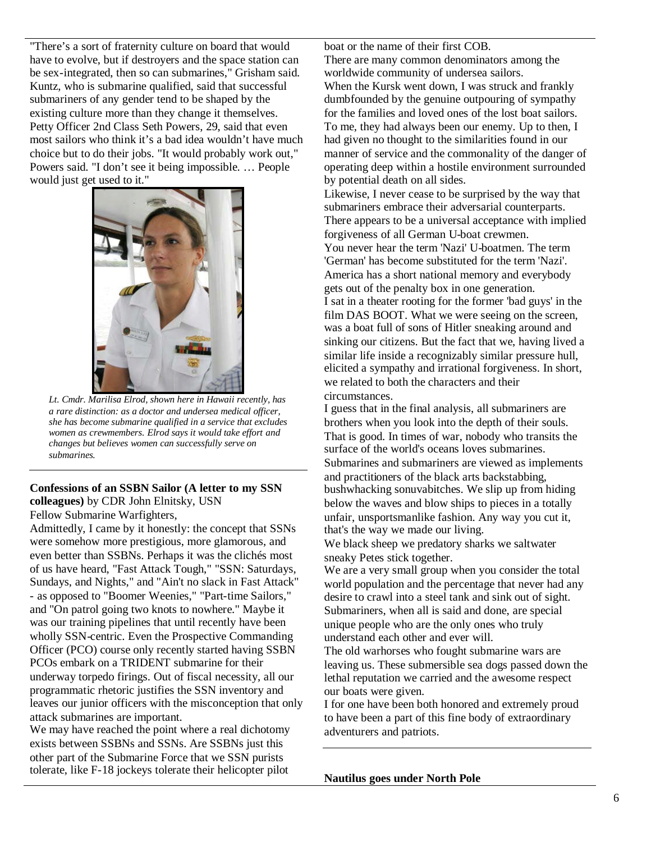"There's a sort of fraternity culture on board that would have to evolve, but if destroyers and the space station can be sex-integrated, then so can submarines," Grisham said. Kuntz, who is submarine qualified, said that successful submariners of any gender tend to be shaped by the existing culture more than they change it themselves. Petty Officer 2nd Class Seth Powers, 29, said that even most sailors who think it's a bad idea wouldn't have much choice but to do their jobs. "It would probably work out," Powers said. "I don't see it being impossible. … People would just get used to it."

![](_page_5_Picture_1.jpeg)

*Lt. Cmdr. Marilisa Elrod, shown here in Hawaii recently, has a rare distinction: as a doctor and undersea medical officer, she has become submarine qualified in a service that excludes women as crewmembers. Elrod says it would take effort and changes but believes women can successfully serve on submarines.*

#### **Confessions of an SSBN Sailor (A letter to my SSN colleagues)** by CDR John Elnitsky, USN Fellow Submarine Warfighters,

Admittedly, I came by it honestly: the concept that SSNs were somehow more prestigious, more glamorous, and even better than SSBNs. Perhaps it was the clichés most of us have heard, "Fast Attack Tough," "SSN: Saturdays, Sundays, and Nights," and "Ain't no slack in Fast Attack" - as opposed to "Boomer Weenies," "Part-time Sailors," and "On patrol going two knots to nowhere." Maybe it was our training pipelines that until recently have been wholly SSN-centric. Even the Prospective Commanding Officer (PCO) course only recently started having SSBN PCOs embark on a TRIDENT submarine for their underway torpedo firings. Out of fiscal necessity, all our programmatic rhetoric justifies the SSN inventory and leaves our junior officers with the misconception that only attack submarines are important.

We may have reached the point where a real dichotomy exists between SSBNs and SSNs. Are SSBNs just this other part of the Submarine Force that we SSN purists tolerate, like F-18 jockeys tolerate their helicopter pilot

boat or the name of their first COB.

There are many common denominators among the worldwide community of undersea sailors. When the Kursk went down, I was struck and frankly dumbfounded by the genuine outpouring of sympathy for the families and loved ones of the lost boat sailors. To me, they had always been our enemy. Up to then, I had given no thought to the similarities found in our manner of service and the commonality of the danger of operating deep within a hostile environment surrounded by potential death on all sides.

Likewise, I never cease to be surprised by the way that submariners embrace their adversarial counterparts. There appears to be a universal acceptance with implied forgiveness of all German U-boat crewmen. You never hear the term 'Nazi' U-boatmen. The term

'German' has become substituted for the term 'Nazi'. America has a short national memory and everybody gets out of the penalty box in one generation. I sat in a theater rooting for the former 'bad guys' in the film DAS BOOT. What we were seeing on the screen, was a boat full of sons of Hitler sneaking around and sinking our citizens. But the fact that we, having lived a similar life inside a recognizably similar pressure hull, elicited a sympathy and irrational forgiveness. In short, we related to both the characters and their circumstances.

I guess that in the final analysis, all submariners are brothers when you look into the depth of their souls. That is good. In times of war, nobody who transits the surface of the world's oceans loves submarines. Submarines and submariners are viewed as implements and practitioners of the black arts backstabbing, bushwhacking sonuvabitches. We slip up from hiding below the waves and blow ships to pieces in a totally unfair, unsportsmanlike fashion. Any way you cut it, that's the way we made our living.

We black sheep we predatory sharks we saltwater sneaky Petes stick together.

We are a very small group when you consider the total world population and the percentage that never had any desire to crawl into a steel tank and sink out of sight. Submariners, when all is said and done, are special unique people who are the only ones who truly understand each other and ever will.

The old warhorses who fought submarine wars are leaving us. These submersible sea dogs passed down the lethal reputation we carried and the awesome respect our boats were given.

I for one have been both honored and extremely proud to have been a part of this fine body of extraordinary adventurers and patriots.

**Nautilus goes under North Pole**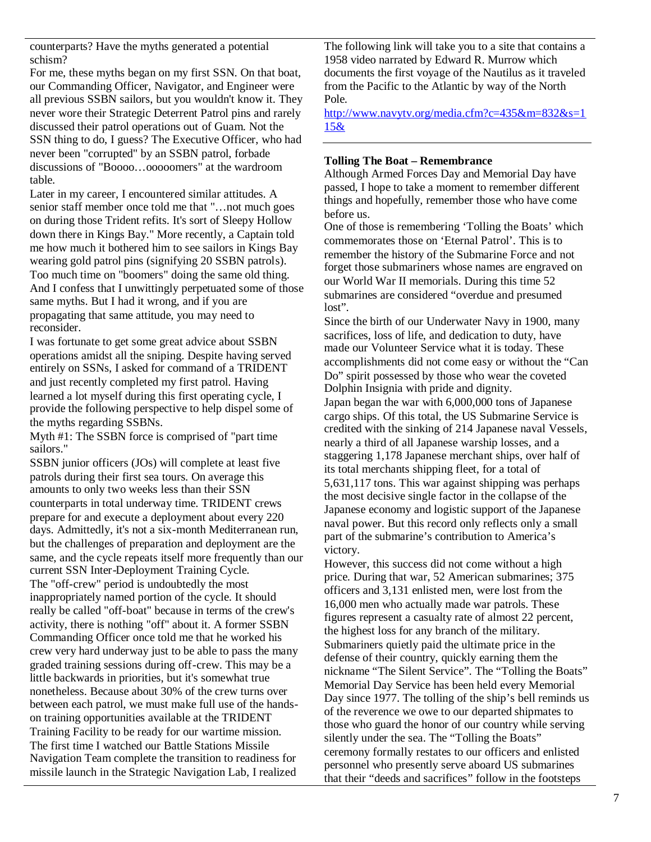counterparts? Have the myths generated a potential schism?

For me, these myths began on my first SSN. On that boat, our Commanding Officer, Navigator, and Engineer were all previous SSBN sailors, but you wouldn't know it. They never wore their Strategic Deterrent Patrol pins and rarely discussed their patrol operations out of Guam. Not the SSN thing to do, I guess? The Executive Officer, who had never been "corrupted" by an SSBN patrol, forbade discussions of "Boooo…ooooomers" at the wardroom table.

Later in my career, I encountered similar attitudes. A senior staff member once told me that "…not much goes on during those Trident refits. It's sort of Sleepy Hollow down there in Kings Bay." More recently, a Captain told me how much it bothered him to see sailors in Kings Bay wearing gold patrol pins (signifying 20 SSBN patrols). Too much time on "boomers" doing the same old thing. And I confess that I unwittingly perpetuated some of those same myths. But I had it wrong, and if you are propagating that same attitude, you may need to reconsider.

I was fortunate to get some great advice about SSBN operations amidst all the sniping. Despite having served entirely on SSNs, I asked for command of a TRIDENT and just recently completed my first patrol. Having learned a lot myself during this first operating cycle, I provide the following perspective to help dispel some of the myths regarding SSBNs.

Myth #1: The SSBN force is comprised of "part time sailors."

SSBN junior officers (JOs) will complete at least five patrols during their first sea tours. On average this amounts to only two weeks less than their SSN counterparts in total underway time. TRIDENT crews prepare for and execute a deployment about every 220 days. Admittedly, it's not a six-month Mediterranean run, but the challenges of preparation and deployment are the same, and the cycle repeats itself more frequently than our current SSN Inter-Deployment Training Cycle. The "off-crew" period is undoubtedly the most inappropriately named portion of the cycle. It should really be called "off-boat" because in terms of the crew's activity, there is nothing "off" about it. A former SSBN Commanding Officer once told me that he worked his crew very hard underway just to be able to pass the many graded training sessions during off-crew. This may be a little backwards in priorities, but it's somewhat true nonetheless. Because about 30% of the crew turns over between each patrol, we must make full use of the handson training opportunities available at the TRIDENT Training Facility to be ready for our wartime mission. The first time I watched our Battle Stations Missile Navigation Team complete the transition to readiness for missile launch in the Strategic Navigation Lab, I realized

The following link will take you to a site that contains a 1958 video narrated by Edward R. Murrow which documents the first voyage of the Nautilus as it traveled from the Pacific to the Atlantic by way of the North Pole.

http://www.navytv.org/media.cfm?c=435&m=832&s=1 15&

### **Tolling The Boat – Remembrance**

Although Armed Forces Day and Memorial Day have passed, I hope to take a moment to remember different things and hopefully, remember those who have come before us.

One of those is remembering 'Tolling the Boats' which commemorates those on 'Eternal Patrol'. This is to remember the history of the Submarine Force and not forget those submariners whose names are engraved on our World War II memorials. During this time 52 submarines are considered "overdue and presumed lost".

Since the birth of our Underwater Navy in 1900, many sacrifices, loss of life, and dedication to duty, have made our Volunteer Service what it is today. These accomplishments did not come easy or without the "Can Do" spirit possessed by those who wear the coveted Dolphin Insignia with pride and dignity.

Japan began the war with 6,000,000 tons of Japanese cargo ships. Of this total, the US Submarine Service is credited with the sinking of 214 Japanese naval Vessels, nearly a third of all Japanese warship losses, and a staggering 1,178 Japanese merchant ships, over half of its total merchants shipping fleet, for a total of 5,631,117 tons. This war against shipping was perhaps the most decisive single factor in the collapse of the Japanese economy and logistic support of the Japanese naval power. But this record only reflects only a small part of the submarine's contribution to America's victory.

However, this success did not come without a high price. During that war, 52 American submarines; 375 officers and 3,131 enlisted men, were lost from the 16,000 men who actually made war patrols. These figures represent a casualty rate of almost 22 percent, the highest loss for any branch of the military. Submariners quietly paid the ultimate price in the defense of their country, quickly earning them the nickname "The Silent Service". The "Tolling the Boats" Memorial Day Service has been held every Memorial Day since 1977. The tolling of the ship's bell reminds us of the reverence we owe to our departed shipmates to those who guard the honor of our country while serving silently under the sea. The "Tolling the Boats" ceremony formally restates to our officers and enlisted personnel who presently serve aboard US submarines that their "deeds and sacrifices" follow in the footsteps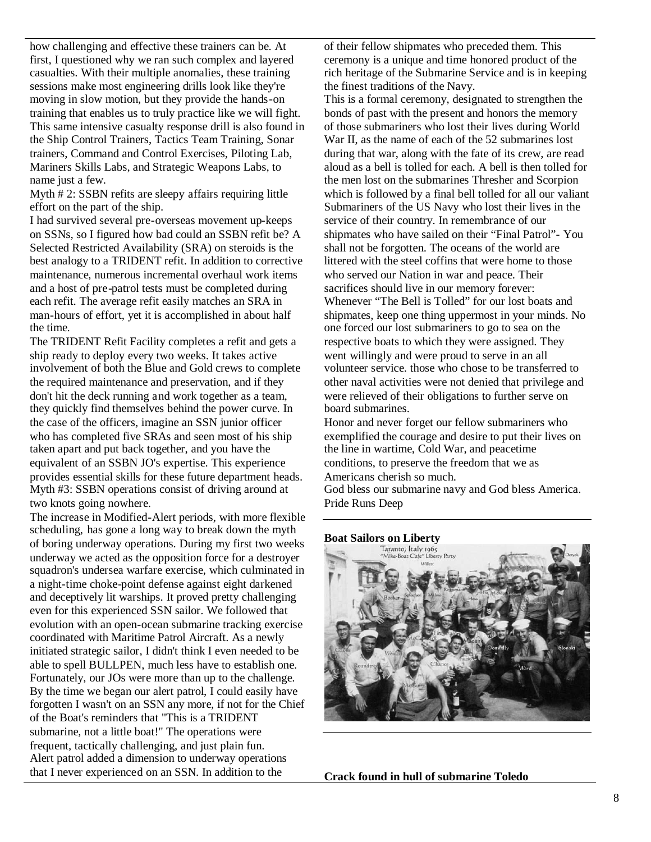how challenging and effective these trainers can be. At first, I questioned why we ran such complex and layered casualties. With their multiple anomalies, these training sessions make most engineering drills look like they're moving in slow motion, but they provide the hands-on training that enables us to truly practice like we will fight. This same intensive casualty response drill is also found in the Ship Control Trainers, Tactics Team Training, Sonar trainers, Command and Control Exercises, Piloting Lab, Mariners Skills Labs, and Strategic Weapons Labs, to name just a few.

Myth # 2: SSBN refits are sleepy affairs requiring little effort on the part of the ship.

I had survived several pre-overseas movement up-keeps on SSNs, so I figured how bad could an SSBN refit be? A Selected Restricted Availability (SRA) on steroids is the best analogy to a TRIDENT refit. In addition to corrective maintenance, numerous incremental overhaul work items and a host of pre-patrol tests must be completed during each refit. The average refit easily matches an SRA in man-hours of effort, yet it is accomplished in about half the time.

The TRIDENT Refit Facility completes a refit and gets a ship ready to deploy every two weeks. It takes active involvement of both the Blue and Gold crews to complete the required maintenance and preservation, and if they don't hit the deck running and work together as a team, they quickly find themselves behind the power curve. In the case of the officers, imagine an SSN junior officer who has completed five SRAs and seen most of his ship taken apart and put back together, and you have the equivalent of an SSBN JO's expertise. This experience provides essential skills for these future department heads. Myth #3: SSBN operations consist of driving around at two knots going nowhere.

The increase in Modified-Alert periods, with more flexible scheduling, has gone a long way to break down the myth of boring underway operations. During my first two weeks underway we acted as the opposition force for a destroyer squadron's undersea warfare exercise, which culminated in a night-time choke-point defense against eight darkened and deceptively lit warships. It proved pretty challenging even for this experienced SSN sailor. We followed that evolution with an open-ocean submarine tracking exercise coordinated with Maritime Patrol Aircraft. As a newly initiated strategic sailor, I didn't think I even needed to be able to spell BULLPEN, much less have to establish one. Fortunately, our JOs were more than up to the challenge. By the time we began our alert patrol, I could easily have forgotten I wasn't on an SSN any more, if not for the Chief of the Boat's reminders that "This is a TRIDENT submarine, not a little boat!" The operations were frequent, tactically challenging, and just plain fun. Alert patrol added a dimension to underway operations that I never experienced on an SSN. In addition to the

of their fellow shipmates who preceded them. This ceremony is a unique and time honored product of the rich heritage of the Submarine Service and is in keeping the finest traditions of the Navy.

This is a formal ceremony, designated to strengthen the bonds of past with the present and honors the memory of those submariners who lost their lives during World War II, as the name of each of the 52 submarines lost during that war, along with the fate of its crew, are read aloud as a bell is tolled for each. A bell is then tolled for the men lost on the submarines Thresher and Scorpion which is followed by a final bell tolled for all our valiant Submariners of the US Navy who lost their lives in the service of their country. In remembrance of our shipmates who have sailed on their "Final Patrol"- You shall not be forgotten. The oceans of the world are littered with the steel coffins that were home to those who served our Nation in war and peace. Their sacrifices should live in our memory forever: Whenever "The Bell is Tolled" for our lost boats and shipmates, keep one thing uppermost in your minds. No one forced our lost submariners to go to sea on the respective boats to which they were assigned. They went willingly and were proud to serve in an all volunteer service. those who chose to be transferred to other naval activities were not denied that privilege and were relieved of their obligations to further serve on board submarines.

Honor and never forget our fellow submariners who exemplified the courage and desire to put their lives on the line in wartime, Cold War, and peacetime conditions, to preserve the freedom that we as Americans cherish so much. God bless our submarine navy and God bless America.

Pride Runs Deep

![](_page_7_Picture_10.jpeg)

**Crack found in hull of submarine Toledo**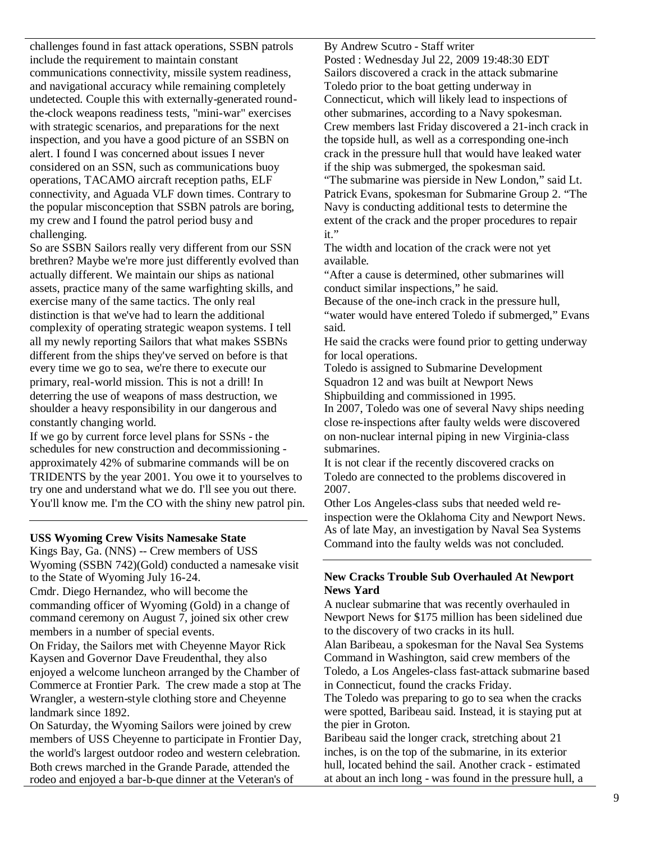challenges found in fast attack operations, SSBN patrols include the requirement to maintain constant communications connectivity, missile system readiness, and navigational accuracy while remaining completely undetected. Couple this with externally-generated roundthe-clock weapons readiness tests, "mini-war" exercises with strategic scenarios, and preparations for the next inspection, and you have a good picture of an SSBN on alert. I found I was concerned about issues I never considered on an SSN, such as communications buoy operations, TACAMO aircraft reception paths, ELF connectivity, and Aguada VLF down times. Contrary to the popular misconception that SSBN patrols are boring, my crew and I found the patrol period busy and challenging.

So are SSBN Sailors really very different from our SSN brethren? Maybe we're more just differently evolved than actually different. We maintain our ships as national assets, practice many of the same warfighting skills, and exercise many of the same tactics. The only real distinction is that we've had to learn the additional complexity of operating strategic weapon systems. I tell all my newly reporting Sailors that what makes SSBNs different from the ships they've served on before is that every time we go to sea, we're there to execute our primary, real-world mission. This is not a drill! In deterring the use of weapons of mass destruction, we shoulder a heavy responsibility in our dangerous and constantly changing world.

If we go by current force level plans for SSNs - the schedules for new construction and decommissioning approximately 42% of submarine commands will be on TRIDENTS by the year 2001. You owe it to yourselves to try one and understand what we do. I'll see you out there. You'll know me. I'm the CO with the shiny new patrol pin.

#### **USS Wyoming Crew Visits Namesake State**

Kings Bay, Ga. (NNS) -- Crew members of USS Wyoming (SSBN 742)(Gold) conducted a namesake visit to the State of Wyoming July 16-24.

Cmdr. Diego Hernandez, who will become the commanding officer of Wyoming (Gold) in a change of command ceremony on August 7, joined six other crew members in a number of special events.

On Friday, the Sailors met with Cheyenne Mayor Rick Kaysen and Governor Dave Freudenthal, they also enjoyed a welcome luncheon arranged by the Chamber of Commerce at Frontier Park. The crew made a stop at The Wrangler, a western-style clothing store and Cheyenne landmark since 1892.

On Saturday, the Wyoming Sailors were joined by crew members of USS Cheyenne to participate in Frontier Day, the world's largest outdoor rodeo and western celebration. Both crews marched in the Grande Parade, attended the rodeo and enjoyed a bar-b-que dinner at the Veteran's of

By Andrew Scutro - Staff writer Posted : Wednesday Jul 22, 2009 19:48:30 EDT Sailors discovered a crack in the attack submarine Toledo prior to the boat getting underway in Connecticut, which will likely lead to inspections of other submarines, according to a Navy spokesman. Crew members last Friday discovered a 21-inch crack in the topside hull, as well as a corresponding one-inch crack in the pressure hull that would have leaked water if the ship was submerged, the spokesman said. "The submarine was pierside in New London," said Lt.

Patrick Evans, spokesman for Submarine Group 2. "The Navy is conducting additional tests to determine the extent of the crack and the proper procedures to repair it."

The width and location of the crack were not yet available.

"After a cause is determined, other submarines will conduct similar inspections," he said.

Because of the one-inch crack in the pressure hull, "water would have entered Toledo if submerged," Evans said.

He said the cracks were found prior to getting underway for local operations.

Toledo is assigned to Submarine Development Squadron 12 and was built at Newport News Shipbuilding and commissioned in 1995.

In 2007, Toledo was one of several Navy ships needing close re-inspections after faulty welds were discovered on non-nuclear internal piping in new Virginia-class submarines.

It is not clear if the recently discovered cracks on Toledo are connected to the problems discovered in 2007.

Other Los Angeles-class subs that needed weld reinspection were the Oklahoma City and Newport News. As of late May, an investigation by Naval Sea Systems Command into the faulty welds was not concluded.

# **New Cracks Trouble Sub Overhauled At Newport News Yard**

A nuclear submarine that was recently overhauled in Newport News for \$175 million has been sidelined due to the discovery of two cracks in its hull.

Alan Baribeau, a spokesman for the Naval Sea Systems Command in Washington, said crew members of the Toledo, a Los Angeles-class fast-attack submarine based in Connecticut, found the cracks Friday.

The Toledo was preparing to go to sea when the cracks were spotted, Baribeau said. Instead, it is staying put at the pier in Groton.

Baribeau said the longer crack, stretching about 21 inches, is on the top of the submarine, in its exterior hull, located behind the sail. Another crack - estimated at about an inch long - was found in the pressure hull, a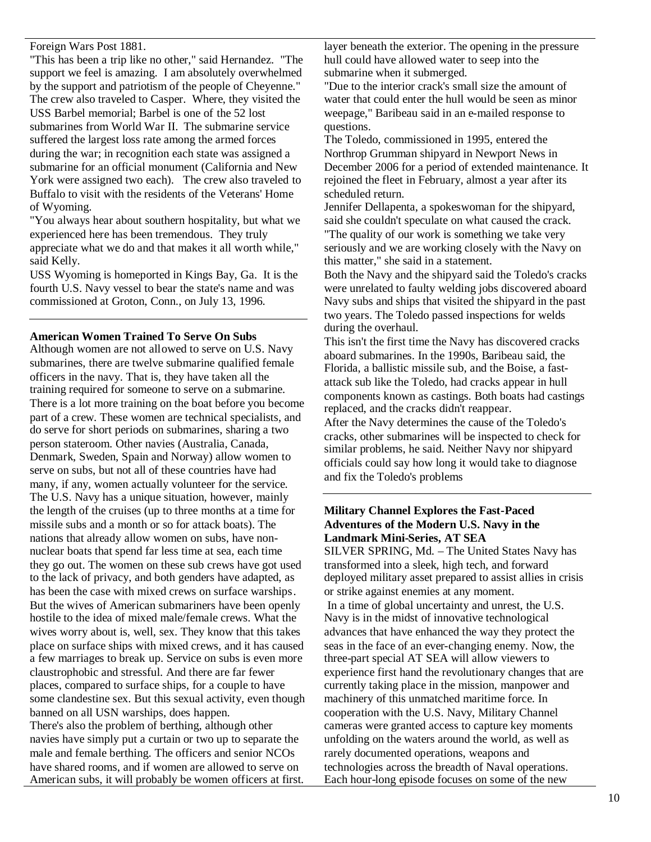Foreign Wars Post 1881.

"This has been a trip like no other," said Hernandez. "The support we feel is amazing. I am absolutely overwhelmed by the support and patriotism of the people of Cheyenne." The crew also traveled to Casper. Where, they visited the USS Barbel memorial; Barbel is one of the 52 lost submarines from World War II. The submarine service suffered the largest loss rate among the armed forces during the war; in recognition each state was assigned a submarine for an official monument (California and New York were assigned two each). The crew also traveled to Buffalo to visit with the residents of the Veterans' Home of Wyoming.

"You always hear about southern hospitality, but what we experienced here has been tremendous. They truly appreciate what we do and that makes it all worth while," said Kelly.

USS Wyoming is homeported in Kings Bay, Ga. It is the fourth U.S. Navy vessel to bear the state's name and was commissioned at Groton, Conn., on July 13, 1996.

#### **American Women Trained To Serve On Subs**

Although women are not allowed to serve on U.S. Navy submarines, there are twelve submarine qualified female officers in the navy. That is, they have taken all the training required for someone to serve on a submarine. There is a lot more training on the boat before you become part of a crew. These women are technical specialists, and do serve for short periods on submarines, sharing a two person stateroom. Other navies (Australia, Canada, Denmark, Sweden, Spain and Norway) allow women to serve on subs, but not all of these countries have had many, if any, women actually volunteer for the service. The U.S. Navy has a unique situation, however, mainly the length of the cruises (up to three months at a time for missile subs and a month or so for attack boats). The nations that already allow women on subs, have nonnuclear boats that spend far less time at sea, each time they go out. The women on these sub crews have got used to the lack of privacy, and both genders have adapted, as has been the case with mixed crews on surface warships. But the wives of American submariners have been openly hostile to the idea of mixed male/female crews. What the wives worry about is, well, sex. They know that this takes place on surface ships with mixed crews, and it has caused a few marriages to break up. Service on subs is even more claustrophobic and stressful. And there are far fewer places, compared to surface ships, for a couple to have some clandestine sex. But this sexual activity, even though banned on all USN warships, does happen. There's also the problem of berthing, although other navies have simply put a curtain or two up to separate the male and female berthing. The officers and senior NCOs have shared rooms, and if women are allowed to serve on American subs, it will probably be women officers at first.

layer beneath the exterior. The opening in the pressure hull could have allowed water to seep into the submarine when it submerged.

"Due to the interior crack's small size the amount of water that could enter the hull would be seen as minor weepage," Baribeau said in an e-mailed response to questions.

The Toledo, commissioned in 1995, entered the Northrop Grumman shipyard in Newport News in December 2006 for a period of extended maintenance. It rejoined the fleet in February, almost a year after its scheduled return.

Jennifer Dellapenta, a spokeswoman for the shipyard, said she couldn't speculate on what caused the crack.

"The quality of our work is something we take very seriously and we are working closely with the Navy on this matter," she said in a statement.

Both the Navy and the shipyard said the Toledo's cracks were unrelated to faulty welding jobs discovered aboard Navy subs and ships that visited the shipyard in the past two years. The Toledo passed inspections for welds during the overhaul.

This isn't the first time the Navy has discovered cracks aboard submarines. In the 1990s, Baribeau said, the Florida, a ballistic missile sub, and the Boise, a fastattack sub like the Toledo, had cracks appear in hull components known as castings. Both boats had castings replaced, and the cracks didn't reappear.

After the Navy determines the cause of the Toledo's cracks, other submarines will be inspected to check for similar problems, he said. Neither Navy nor shipyard officials could say how long it would take to diagnose and fix the Toledo's problems

## **Military Channel Explores the Fast-Paced Adventures of the Modern U.S. Navy in the Landmark Mini-Series, AT SEA**

SILVER SPRING, Md. – The United States Navy has transformed into a sleek, high tech, and forward deployed military asset prepared to assist allies in crisis or strike against enemies at any moment. In a time of global uncertainty and unrest, the U.S. Navy is in the midst of innovative technological

advances that have enhanced the way they protect the seas in the face of an ever-changing enemy. Now, the three-part special AT SEA will allow viewers to experience first hand the revolutionary changes that are currently taking place in the mission, manpower and machinery of this unmatched maritime force. In cooperation with the U.S. Navy, Military Channel cameras were granted access to capture key moments unfolding on the waters around the world, as well as rarely documented operations, weapons and technologies across the breadth of Naval operations. Each hour-long episode focuses on some of the new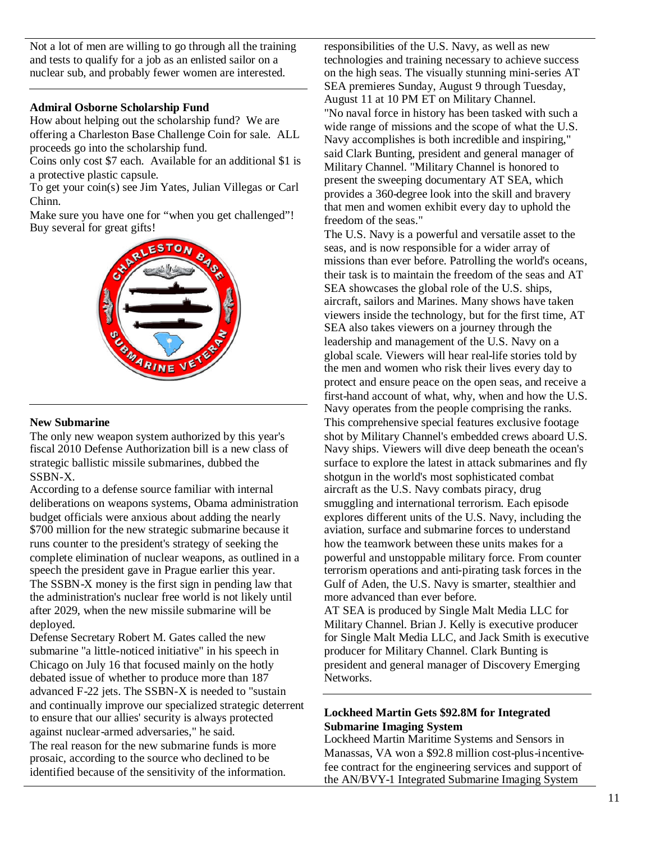Not a lot of men are willing to go through all the training and tests to qualify for a job as an enlisted sailor on a nuclear sub, and probably fewer women are interested.

#### **Admiral Osborne Scholarship Fund**

How about helping out the scholarship fund? We are offering a Charleston Base Challenge Coin for sale. ALL proceeds go into the scholarship fund.

Coins only cost \$7 each. Available for an additional \$1 is a protective plastic capsule.

To get your coin(s) see Jim Yates, Julian Villegas or Carl Chinn.

Make sure you have one for "when you get challenged"! Buy several for great gifts!

![](_page_10_Picture_6.jpeg)

#### **New Submarine**

The only new weapon system authorized by this year's fiscal 2010 Defense Authorization bill is a new class of strategic ballistic missile submarines, dubbed the SSBN-X.

According to a defense source familiar with internal deliberations on weapons systems, Obama administration budget officials were anxious about adding the nearly \$700 million for the new strategic submarine because it runs counter to the president's strategy of seeking the complete elimination of nuclear weapons, as outlined in a speech the president gave in Prague earlier this year. The SSBN-X money is the first sign in pending law that the administration's nuclear free world is not likely until after 2029, when the new missile submarine will be deployed.

Defense Secretary Robert M. Gates called the new submarine "a little-noticed initiative" in his speech in Chicago on July 16 that focused mainly on the hotly debated issue of whether to produce more than 187 advanced F-22 jets. The SSBN-X is needed to "sustain and continually improve our specialized strategic deterrent to ensure that our allies' security is always protected against nuclear-armed adversaries," he said. The real reason for the new submarine funds is more prosaic, according to the source who declined to be identified because of the sensitivity of the information.

responsibilities of the U.S. Navy, as well as new technologies and training necessary to achieve success on the high seas. The visually stunning mini-series AT SEA premieres Sunday, August 9 through Tuesday, August 11 at 10 PM ET on Military Channel. "No naval force in history has been tasked with such a wide range of missions and the scope of what the U.S. Navy accomplishes is both incredible and inspiring," said Clark Bunting, president and general manager of Military Channel. "Military Channel is honored to present the sweeping documentary AT SEA, which provides a 360-degree look into the skill and bravery that men and women exhibit every day to uphold the freedom of the seas."

The U.S. Navy is a powerful and versatile asset to the seas, and is now responsible for a wider array of missions than ever before. Patrolling the world's oceans, their task is to maintain the freedom of the seas and AT SEA showcases the global role of the U.S. ships, aircraft, sailors and Marines. Many shows have taken viewers inside the technology, but for the first time, AT SEA also takes viewers on a journey through the leadership and management of the U.S. Navy on a global scale. Viewers will hear real-life stories told by the men and women who risk their lives every day to protect and ensure peace on the open seas, and receive a first-hand account of what, why, when and how the U.S. Navy operates from the people comprising the ranks. This comprehensive special features exclusive footage shot by Military Channel's embedded crews aboard U.S. Navy ships. Viewers will dive deep beneath the ocean's surface to explore the latest in attack submarines and fly shotgun in the world's most sophisticated combat aircraft as the U.S. Navy combats piracy, drug smuggling and international terrorism. Each episode explores different units of the U.S. Navy, including the aviation, surface and submarine forces to understand how the teamwork between these units makes for a powerful and unstoppable military force. From counter terrorism operations and anti-pirating task forces in the Gulf of Aden, the U.S. Navy is smarter, stealthier and more advanced than ever before.

AT SEA is produced by Single Malt Media LLC for Military Channel. Brian J. Kelly is executive producer for Single Malt Media LLC, and Jack Smith is executive producer for Military Channel. Clark Bunting is president and general manager of Discovery Emerging Networks.

## **Lockheed Martin Gets \$92.8M for Integrated Submarine Imaging System**

Lockheed Martin Maritime Systems and Sensors in Manassas, VA won a \$92.8 million cost-plus-incentivefee contract for the engineering services and support of the AN/BVY-1 Integrated Submarine Imaging System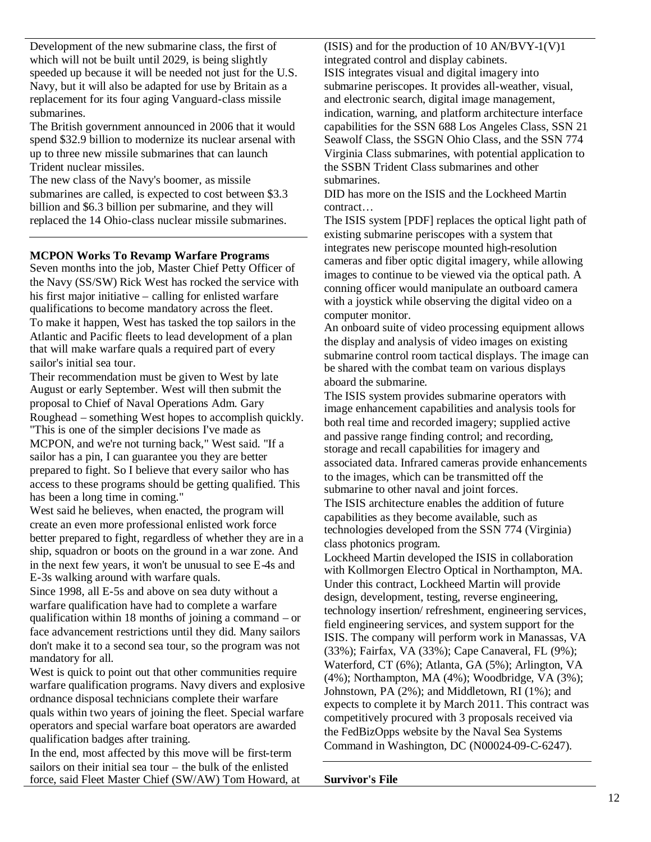Development of the new submarine class, the first of which will not be built until 2029, is being slightly speeded up because it will be needed not just for the U.S. Navy, but it will also be adapted for use by Britain as a replacement for its four aging Vanguard-class missile submarines.

The British government announced in 2006 that it would spend \$32.9 billion to modernize its nuclear arsenal with up to three new missile submarines that can launch Trident nuclear missiles.

The new class of the Navy's boomer, as missile submarines are called, is expected to cost between \$3.3 billion and \$6.3 billion per submarine, and they will replaced the 14 Ohio-class nuclear missile submarines.

## **MCPON Works To Revamp Warfare Programs**

Seven months into the job, Master Chief Petty Officer of the Navy (SS/SW) Rick West has rocked the service with his first major initiative – calling for enlisted warfare qualifications to become mandatory across the fleet. To make it happen, West has tasked the top sailors in the Atlantic and Pacific fleets to lead development of a plan that will make warfare quals a required part of every sailor's initial sea tour.

Their recommendation must be given to West by late August or early September. West will then submit the proposal to Chief of Naval Operations Adm. Gary Roughead – something West hopes to accomplish quickly. "This is one of the simpler decisions I've made as MCPON, and we're not turning back," West said. "If a sailor has a pin, I can guarantee you they are better prepared to fight. So I believe that every sailor who has access to these programs should be getting qualified. This has been a long time in coming."

West said he believes, when enacted, the program will create an even more professional enlisted work force better prepared to fight, regardless of whether they are in a ship, squadron or boots on the ground in a war zone. And in the next few years, it won't be unusual to see E-4s and E-3s walking around with warfare quals.

Since 1998, all E-5s and above on sea duty without a warfare qualification have had to complete a warfare qualification within 18 months of joining a command – or face advancement restrictions until they did. Many sailors don't make it to a second sea tour, so the program was not mandatory for all.

West is quick to point out that other communities require warfare qualification programs. Navy divers and explosive ordnance disposal technicians complete their warfare quals within two years of joining the fleet. Special warfare operators and special warfare boat operators are awarded qualification badges after training.

In the end, most affected by this move will be first-term sailors on their initial sea tour – the bulk of the enlisted force, said Fleet Master Chief (SW/AW) Tom Howard, at (ISIS) and for the production of 10 AN/BVY-1(V)1 integrated control and display cabinets. ISIS integrates visual and digital imagery into submarine periscopes. It provides all-weather, visual, and electronic search, digital image management, indication, warning, and platform architecture interface capabilities for the SSN 688 Los Angeles Class, SSN 21 Seawolf Class, the SSGN Ohio Class, and the SSN 774 Virginia Class submarines, with potential application to the SSBN Trident Class submarines and other submarines.

DID has more on the ISIS and the Lockheed Martin contract…

The ISIS system [PDF] replaces the optical light path of existing submarine periscopes with a system that integrates new periscope mounted high-resolution cameras and fiber optic digital imagery, while allowing images to continue to be viewed via the optical path. A conning officer would manipulate an outboard camera with a joystick while observing the digital video on a computer monitor.

An onboard suite of video processing equipment allows the display and analysis of video images on existing submarine control room tactical displays. The image can be shared with the combat team on various displays aboard the submarine.

The ISIS system provides submarine operators with image enhancement capabilities and analysis tools for both real time and recorded imagery; supplied active and passive range finding control; and recording, storage and recall capabilities for imagery and associated data. Infrared cameras provide enhancements to the images, which can be transmitted off the submarine to other naval and joint forces. The ISIS architecture enables the addition of future capabilities as they become available, such as technologies developed from the SSN 774 (Virginia) class photonics program.

Lockheed Martin developed the ISIS in collaboration with Kollmorgen Electro Optical in Northampton, MA. Under this contract, Lockheed Martin will provide design, development, testing, reverse engineering, technology insertion/ refreshment, engineering services, field engineering services, and system support for the ISIS. The company will perform work in Manassas, VA (33%); Fairfax, VA (33%); Cape Canaveral, FL (9%); Waterford, CT (6%); Atlanta, GA (5%); Arlington, VA (4%); Northampton, MA (4%); Woodbridge, VA (3%); Johnstown, PA (2%); and Middletown, RI (1%); and expects to complete it by March 2011. This contract was competitively procured with 3 proposals received via the FedBizOpps website by the Naval Sea Systems Command in Washington, DC (N00024-09-C-6247).

#### **Survivor's File**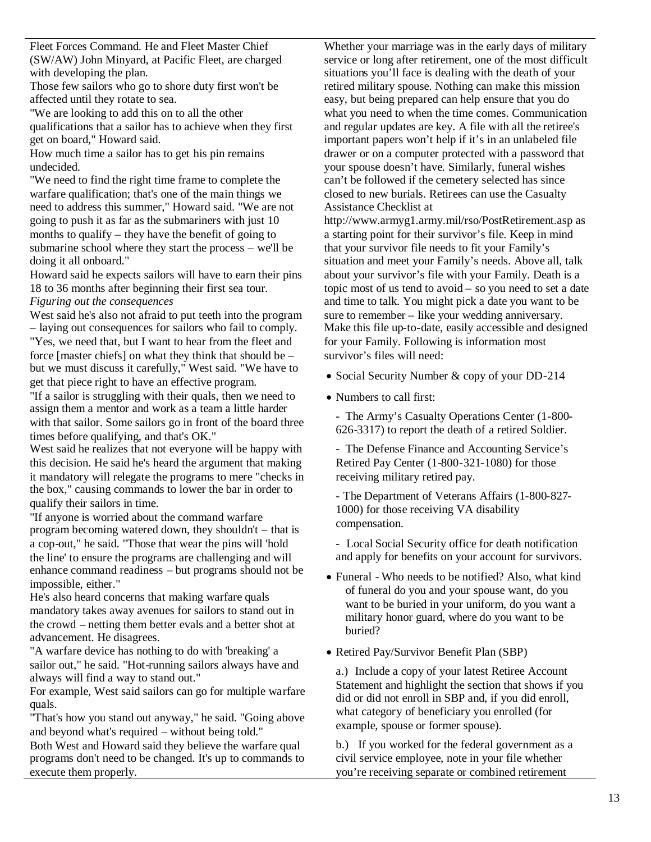Fleet Forces Command. He and Fleet Master Chief (SW/AW) John Minyard, at Pacific Fleet, are charged with developing the plan.

Those few sailors who go to shore duty first won't be affected until they rotate to sea.

"We are looking to add this on to all the other qualifications that a sailor has to achieve when they first get on board," Howard said.

How much time a sailor has to get his pin remains undecided.

"We need to find the right time frame to complete the warfare qualification; that's one of the main things we need to address this summer," Howard said. "We are not going to push it as far as the submariners with just 10 months to qualify – they have the benefit of going to submarine school where they start the process – we'll be doing it all onboard."

Howard said he expects sailors will have to earn their pins 18 to 36 months after beginning their first sea tour. *Figuring out the consequences*

West said he's also not afraid to put teeth into the program – laying out consequences for sailors who fail to comply.

"Yes, we need that, but I want to hear from the fleet and force [master chiefs] on what they think that should be – but we must discuss it carefully," West said. "We have to get that piece right to have an effective program.

"If a sailor is struggling with their quals, then we need to assign them a mentor and work as a team a little harder with that sailor. Some sailors go in front of the board three times before qualifying, and that's OK."

West said he realizes that not everyone will be happy with this decision. He said he's heard the argument that making it mandatory will relegate the programs to mere "checks in the box," causing commands to lower the bar in order to qualify their sailors in time.

"If anyone is worried about the command warfare program becoming watered down, they shouldn't – that is a cop-out," he said. "Those that wear the pins will 'hold the line' to ensure the programs are challenging and will enhance command readiness – but programs should not be impossible, either."

He's also heard concerns that making warfare quals mandatory takes away avenues for sailors to stand out in the crowd – netting them better evals and a better shot at advancement. He disagrees.

"A warfare device has nothing to do with 'breaking' a sailor out," he said. "Hot-running sailors always have and always will find a way to stand out."

For example, West said sailors can go for multiple warfare quals.

"That's how you stand out anyway," he said. "Going above and beyond what's required – without being told."

Both West and Howard said they believe the warfare qual programs don't need to be changed. It's up to commands to execute them properly.

Whether your marriage was in the early days of military service or long after retirement, one of the most difficult situations you'll face is dealing with the death of your retired military spouse. Nothing can make this mission easy, but being prepared can help ensure that you do what you need to when the time comes. Communication and regular updates are key. A file with all the retiree's important papers won't help if it's in an unlabeled file drawer or on a computer protected with a password that your spouse doesn't have. Similarly, funeral wishes can't be followed if the cemetery selected has since closed to new burials. Retirees can use the Casualty Assistance Checklist at

http://www.armyg1.army.mil/rso/PostRetirement.asp as a starting point for their survivor's file. Keep in mind that your survivor file needs to fit your Family's situation and meet your Family's needs. Above all, talk about your survivor's file with your Family. Death is a topic most of us tend to avoid – so you need to set a date and time to talk. You might pick a date you want to be sure to remember – like your wedding anniversary. Make this file up-to-date, easily accessible and designed for your Family. Following is information most survivor's files will need:

• Social Security Number & copy of your DD-214

Numbers to call first:

- The Army's Casualty Operations Center (1-800- 626-3317) to report the death of a retired Soldier.

- The Defense Finance and Accounting Service's Retired Pay Center (1-800-321-1080) for those receiving military retired pay.

- The Department of Veterans Affairs (1-800-827- 1000) for those receiving VA disability compensation.

- Local Social Security office for death notification and apply for benefits on your account for survivors.

- Funeral Who needs to be notified? Also, what kind of funeral do you and your spouse want, do you want to be buried in your uniform, do you want a military honor guard, where do you want to be buried?
- Retired Pay/Survivor Benefit Plan (SBP)

a.) Include a copy of your latest Retiree Account Statement and highlight the section that shows if you did or did not enroll in SBP and, if you did enroll, what category of beneficiary you enrolled (for example, spouse or former spouse).

b.) If you worked for the federal government as a civil service employee, note in your file whether you're receiving separate or combined retirement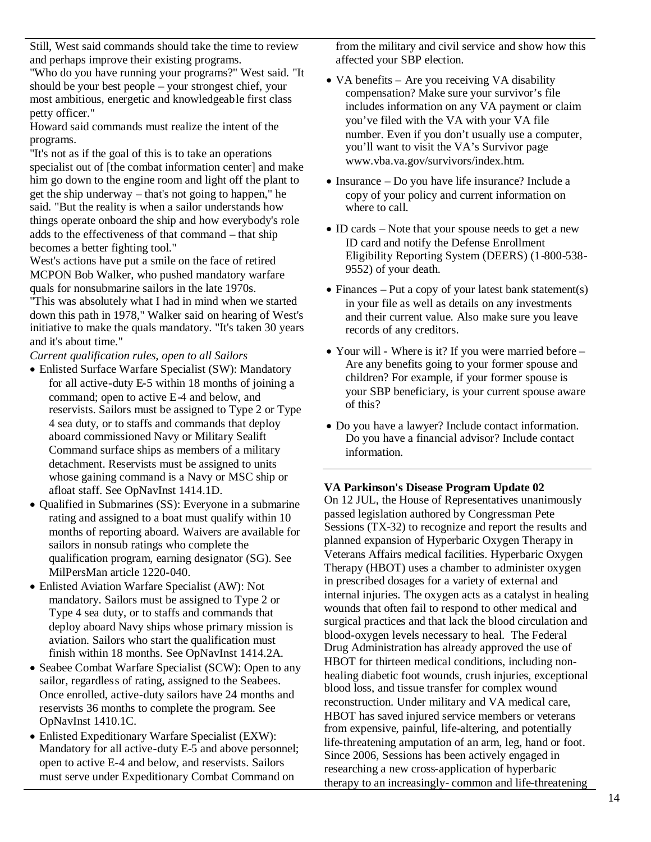Still, West said commands should take the time to review and perhaps improve their existing programs.

"Who do you have running your programs?" West said. "It should be your best people – your strongest chief, your most ambitious, energetic and knowledgeable first class petty officer."

Howard said commands must realize the intent of the programs.

"It's not as if the goal of this is to take an operations specialist out of [the combat information center] and make him go down to the engine room and light off the plant to get the ship underway – that's not going to happen," he said. "But the reality is when a sailor understands how things operate onboard the ship and how everybody's role adds to the effectiveness of that command – that ship becomes a better fighting tool."

West's actions have put a smile on the face of retired MCPON Bob Walker, who pushed mandatory warfare quals for nonsubmarine sailors in the late 1970s.

"This was absolutely what I had in mind when we started down this path in 1978," Walker said on hearing of West's initiative to make the quals mandatory. "It's taken 30 years and it's about time."

*Current qualification rules, open to all Sailors*

- Enlisted Surface Warfare Specialist (SW): Mandatory for all active-duty E-5 within 18 months of joining a command; open to active E-4 and below, and reservists. Sailors must be assigned to Type 2 or Type 4 sea duty, or to staffs and commands that deploy aboard commissioned Navy or Military Sealift Command surface ships as members of a military detachment. Reservists must be assigned to units whose gaining command is a Navy or MSC ship or afloat staff. See OpNavInst 1414.1D.
- Oualified in Submarines (SS): Everyone in a submarine rating and assigned to a boat must qualify within 10 months of reporting aboard. Waivers are available for sailors in nonsub ratings who complete the qualification program, earning designator (SG). See MilPersMan article 1220-040.
- Enlisted Aviation Warfare Specialist (AW): Not mandatory. Sailors must be assigned to Type 2 or Type 4 sea duty, or to staffs and commands that deploy aboard Navy ships whose primary mission is aviation. Sailors who start the qualification must finish within 18 months. See OpNavInst 1414.2A.
- Seabee Combat Warfare Specialist (SCW): Open to any sailor, regardless of rating, assigned to the Seabees. Once enrolled, active-duty sailors have 24 months and reservists 36 months to complete the program. See OpNavInst 1410.1C.
- Enlisted Expeditionary Warfare Specialist (EXW): Mandatory for all active-duty E-5 and above personnel; open to active E-4 and below, and reservists. Sailors must serve under Expeditionary Combat Command on

from the military and civil service and show how this affected your SBP election.

- VA benefits Are you receiving VA disability compensation? Make sure your survivor's file includes information on any VA payment or claim you've filed with the VA with your VA file number. Even if you don't usually use a computer, you'll want to visit the VA's Survivor page www.vba.va.gov/survivors/index.htm.
- Insurance Do you have life insurance? Include a copy of your policy and current information on where to call.
- ID cards Note that your spouse needs to get a new ID card and notify the Defense Enrollment Eligibility Reporting System (DEERS) (1-800-538- 9552) of your death.
- Finances Put a copy of your latest bank statement(s) in your file as well as details on any investments and their current value. Also make sure you leave records of any creditors.
- Your will Where is it? If you were married before Are any benefits going to your former spouse and children? For example, if your former spouse is your SBP beneficiary, is your current spouse aware of this?
- Do you have a lawyer? Include contact information. Do you have a financial advisor? Include contact information.

**VA Parkinson's Disease Program Update 02**

On 12 JUL, the House of Representatives unanimously passed legislation authored by Congressman Pete Sessions (TX-32) to recognize and report the results and planned expansion of Hyperbaric Oxygen Therapy in Veterans Affairs medical facilities. Hyperbaric Oxygen Therapy (HBOT) uses a chamber to administer oxygen in prescribed dosages for a variety of external and internal injuries. The oxygen acts as a catalyst in healing wounds that often fail to respond to other medical and surgical practices and that lack the blood circulation and blood-oxygen levels necessary to heal. The Federal Drug Administration has already approved the use of HBOT for thirteen medical conditions, including nonhealing diabetic foot wounds, crush injuries, exceptional blood loss, and tissue transfer for complex wound reconstruction. Under military and VA medical care, HBOT has saved injured service members or veterans from expensive, painful, life-altering, and potentially life-threatening amputation of an arm, leg, hand or foot. Since 2006, Sessions has been actively engaged in researching a new cross-application of hyperbaric therapy to an increasingly- common and life-threatening